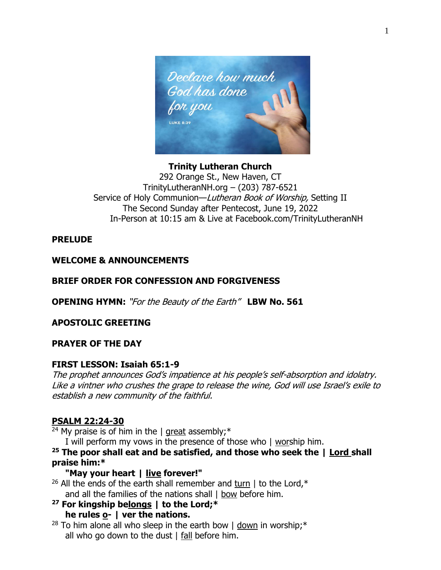

# **Trinity Lutheran Church** 292 Orange St., New Haven, CT TrinityLutheranNH.org – (203) 787-6521 Service of Holy Communion-Lutheran Book of Worship, Setting II The Second Sunday after Pentecost, June 19, 2022 In-Person at 10:15 am & Live at Facebook.com/TrinityLutheranNH

# **PRELUDE**

# **WELCOME & ANNOUNCEMENTS**

# **BRIEF ORDER FOR CONFESSION AND FORGIVENESS**

**OPENING HYMN:** "For the Beauty of the Earth" **LBW No. 561**

# **APOSTOLIC GREETING**

#### **PRAYER OF THE DAY**

#### **FIRST LESSON: Isaiah 65:1-9**

The prophet announces God's impatience at his people's self-absorption and idolatry. Like a vintner who crushes the grape to release the wine, God will use Israel's exile to establish a new community of the faithful.

# **PSALM 22:24-30**

<sup>24</sup> My praise is of him in the  $\vert$  great assembly;<sup>\*</sup>

I will perform my vows in the presence of those who | worship him.

**<sup>25</sup> The poor shall eat and be satisfied, and those who seek the | Lord shall praise him:\***

# **"May your heart | live forever!"**

- <sup>26</sup> All the ends of the earth shall remember and turn  $\vert$  to the Lord,\* and all the families of the nations shall  $\vert$  bow before him.
- **<sup>27</sup> For kingship belongs | to the Lord;\* he rules o- | ver the nations.**
- <sup>28</sup> To him alone all who sleep in the earth bow  $\vert$  down in worship;\* all who go down to the dust | fall before him.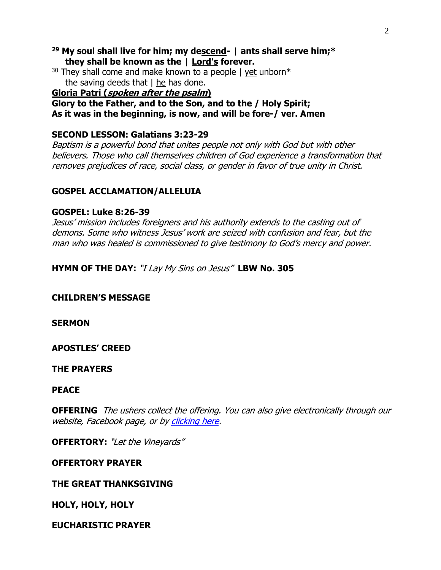- **<sup>29</sup> My soul shall live for him; my descend- | ants shall serve him;\* they shall be known as the | Lord's forever.**
- <sup>30</sup> They shall come and make known to a people  $\frac{1}{2}$  yet unborn\* the saving deeds that  $|$  he has done.

## **Gloria Patri (spoken after the psalm)**

**Glory to the Father, and to the Son, and to the / Holy Spirit; As it was in the beginning, is now, and will be fore-/ ver. Amen**

## **SECOND LESSON: Galatians 3:23-29**

Baptism is a powerful bond that unites people not only with God but with other believers. Those who call themselves children of God experience a transformation that removes prejudices of race, social class, or gender in favor of true unity in Christ.

# **GOSPEL ACCLAMATION/ALLELUIA**

## **GOSPEL: Luke 8:26-39**

Jesus' mission includes foreigners and his authority extends to the casting out of demons. Some who witness Jesus' work are seized with confusion and fear, but the man who was healed is commissioned to give testimony to God's mercy and power.

**HYMN OF THE DAY:** "I Lay My Sins on Jesus" **LBW No. 305**

# **CHILDREN'S MESSAGE**

**SERMON** 

**APOSTLES' CREED** 

#### **THE PRAYERS**

#### **PEACE**

**OFFERING** The ushers collect the offering. You can also give electronically through our website, Facebook page, or by [clicking here.](https://www.eservicepayments.com/cgi-bin/Vanco_ver3.vps?appver3=wWsk24ZWJSTZKsGd1RMKlg0BDvsSG3VIWQCPJNNxD8upkiY7JlDavDsozUE7KG0nFx2NSo8LdUKGuGuF396vbTL3zI8d9ONQj96N4loOj5giYnTg5dP4O6rpX5QvPEWlBhHDN59kLZFffwKfYERpQoyDu0FSEa2T5JeuDbytksQ=&ver=3)

**OFFERTORY:** "Let the Vineyards"

#### **OFFERTORY PRAYER**

# **THE GREAT THANKSGIVING**

**HOLY, HOLY, HOLY**

# **EUCHARISTIC PRAYER**